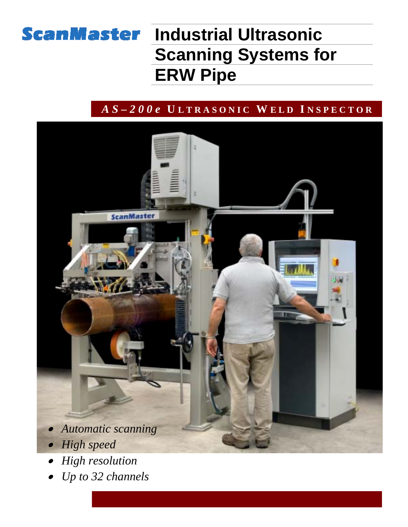

# **ScanMaster Industrial Ultrasonic Scanning Systems for ERW Pipe**

### *A S – 2 0 0 e* **U L T R A S O N I C W E L D I N S P E C T O R**



- • *High resolution*
- •*Up to 32 channels*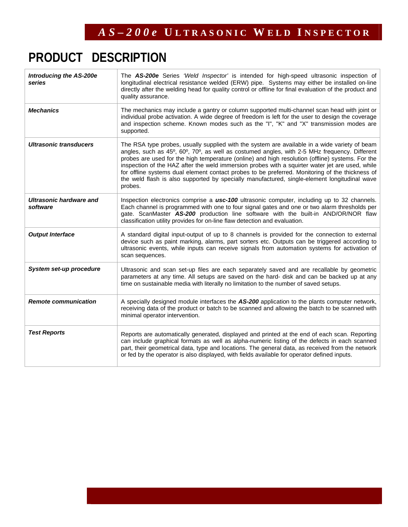## **PRODUCT DESCRIPTION**

| <b>Introducing the AS-200e</b><br>series | The AS-200e Series 'Weld Inspector' is intended for high-speed ultrasonic inspection of<br>longitudinal electrical resistance welded (ERW) pipe. Systems may either be installed on-line<br>directly after the welding head for quality control or offline for final evaluation of the product and<br>quality assurance.                                                                                                                                                                                                                                                                                           |
|------------------------------------------|--------------------------------------------------------------------------------------------------------------------------------------------------------------------------------------------------------------------------------------------------------------------------------------------------------------------------------------------------------------------------------------------------------------------------------------------------------------------------------------------------------------------------------------------------------------------------------------------------------------------|
| <b>Mechanics</b>                         | The mechanics may include a gantry or column supported multi-channel scan head with joint or<br>individual probe activation. A wide degree of freedom is left for the user to design the coverage<br>and inspection scheme. Known modes such as the "I", "K" and "X" transmission modes are<br>supported.                                                                                                                                                                                                                                                                                                          |
| Ultrasonic transducers                   | The RSA type probes, usually supplied with the system are available in a wide variety of beam<br>angles, such as 45°, 60°, 70°, as well as costumed angles, with 2-5 MHz frequency. Different<br>probes are used for the high temperature (online) and high resolution (offline) systems. For the<br>inspection of the HAZ after the weld immersion probes with a squirter water jet are used, while<br>for offline systems dual element contact probes to be preferred. Monitoring of the thickness of<br>the weld flash is also supported by specially manufactured, single-element longitudinal wave<br>probes. |
| Ultrasonic hardware and<br>software      | Inspection electronics comprise a <b>usc-100</b> ultrasonic computer, including up to 32 channels.<br>Each channel is programmed with one to four signal gates and one or two alarm thresholds per<br>gate. ScanMaster AS-200 production line software with the built-in AND/OR/NOR flaw<br>classification utility provides for on-line flaw detection and evaluation.                                                                                                                                                                                                                                             |
| <b>Output Interface</b>                  | A standard digital input-output of up to 8 channels is provided for the connection to external<br>device such as paint marking, alarms, part sorters etc. Outputs can be triggered according to<br>ultrasonic events, while inputs can receive signals from automation systems for activation of<br>scan sequences.                                                                                                                                                                                                                                                                                                |
| System set-up procedure                  | Ultrasonic and scan set-up files are each separately saved and are recallable by geometric<br>parameters at any time. All setups are saved on the hard- disk and can be backed up at any<br>time on sustainable media with literally no limitation to the number of saved setups.                                                                                                                                                                                                                                                                                                                                  |
| <b>Remote communication</b>              | A specially designed module interfaces the AS-200 application to the plants computer network,<br>receiving data of the product or batch to be scanned and allowing the batch to be scanned with<br>minimal operator intervention.                                                                                                                                                                                                                                                                                                                                                                                  |
| <b>Test Reports</b>                      | Reports are automatically generated, displayed and printed at the end of each scan. Reporting<br>can include graphical formats as well as alpha-numeric listing of the defects in each scanned<br>part, their geometrical data, type and locations. The general data, as received from the network<br>or fed by the operator is also displayed, with fields available for operator defined inputs.                                                                                                                                                                                                                 |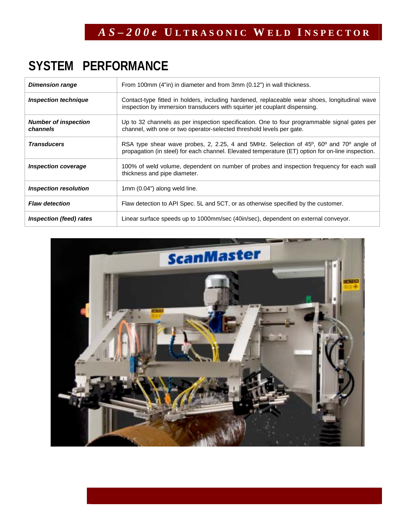## **SYSTEM PERFORMANCE**

| <b>Dimension range</b>                  | From 100mm (4"in) in diameter and from 3mm (0.12") in wall thickness.                                                                                                                                                             |
|-----------------------------------------|-----------------------------------------------------------------------------------------------------------------------------------------------------------------------------------------------------------------------------------|
| <b>Inspection technique</b>             | Contact-type fitted in holders, including hardened, replaceable wear shoes, longitudinal wave<br>inspection by immersion transducers with squirter jet couplant dispensing.                                                       |
| <b>Number of inspection</b><br>channels | Up to 32 channels as per inspection specification. One to four programmable signal gates per<br>channel, with one or two operator-selected threshold levels per gate.                                                             |
| <b>Transducers</b>                      | RSA type shear wave probes, 2, 2.25, 4 and 5MHz. Selection of 45 <sup>o</sup> , 60 <sup>o</sup> and 70 <sup>o</sup> angle of<br>propagation (in steel) for each channel. Elevated temperature (ET) option for on-line inspection. |
| <b>Inspection coverage</b>              | 100% of weld volume, dependent on number of probes and inspection frequency for each wall<br>thickness and pipe diameter.                                                                                                         |
| <b>Inspection resolution</b>            | 1mm (0.04") along weld line.                                                                                                                                                                                                      |
| <b>Flaw detection</b>                   | Flaw detection to API Spec. 5L and 5CT, or as otherwise specified by the customer.                                                                                                                                                |
| Inspection (feed) rates                 | Linear surface speeds up to 1000mm/sec (40in/sec), dependent on external conveyor.                                                                                                                                                |